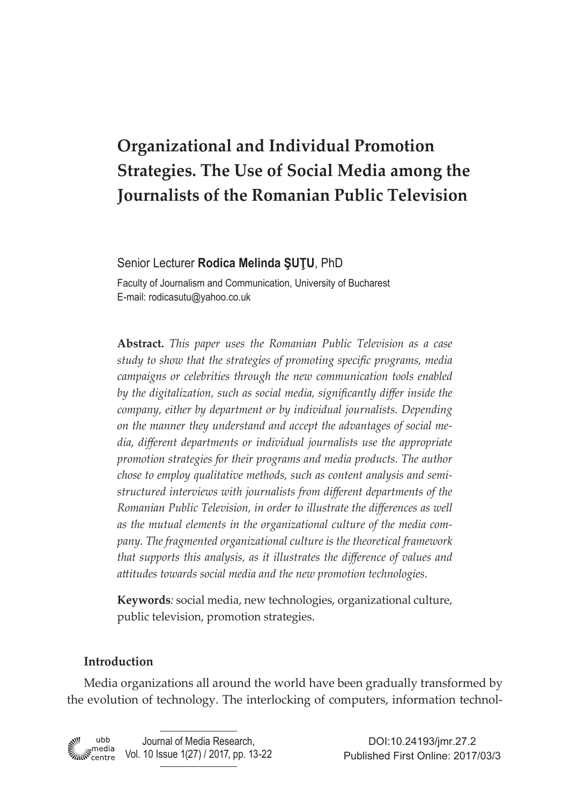# **Organizational and Individual Promotion Strategies. The Use of Social Media among the Journalists of the Romanian Public Television**

## Senior Lecturer **Rodica Melinda ŞUŢU**, PhD

Faculty of Journalism and Communication, University of Bucharest E-mail: rodicasutu@yahoo.co.uk

**Abstract.** *This paper uses the Romanian Public Television as a case study to show that the strategies of promoting specific programs, media campaigns or celebrities through the new communication tools enabled by the digitalization, such as social media, significantly differ inside the company, either by department or by individual journalists. Depending on the manner they understand and accept the advantages of social media, different departments or individual journalists use the appropriate promotion strategies for their programs and media products. The author chose to employ qualitative methods, such as content analysis and semistructured interviews with journalists from different departments of the Romanian Public Television, in order to illustrate the differences as well as the mutual elements in the organizational culture of the media company. The fragmented organizational culture is the theoretical framework that supports this analysis, as it illustrates the difference of values and attitudes towards social media and the new promotion technologies.* 

**Keywords***:* social media, new technologies, organizational culture, public television, promotion strategies.

## **Introduction**

Media organizations all around the world have been gradually transformed by the evolution of technology. The interlocking of computers, information technol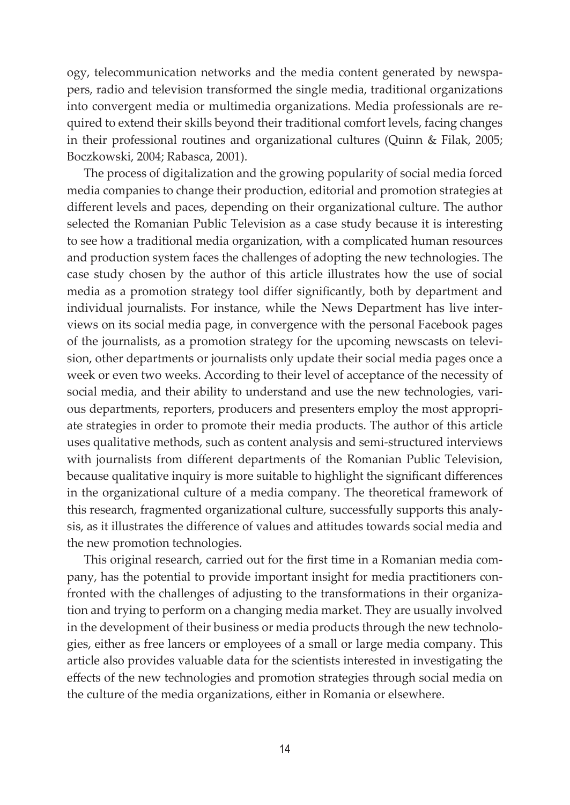ogy, telecommunication networks and the media content generated by newspapers, radio and television transformed the single media, traditional organizations into convergent media or multimedia organizations. Media professionals are required to extend their skills beyond their traditional comfort levels, facing changes in their professional routines and organizational cultures (Quinn & Filak, 2005; Boczkowski, 2004; Rabasca, 2001).

The process of digitalization and the growing popularity of social media forced media companies to change their production, editorial and promotion strategies at different levels and paces, depending on their organizational culture. The author selected the Romanian Public Television as a case study because it is interesting to see how a traditional media organization, with a complicated human resources and production system faces the challenges of adopting the new technologies. The case study chosen by the author of this article illustrates how the use of social media as a promotion strategy tool differ significantly, both by department and individual journalists. For instance, while the News Department has live interviews on its social media page, in convergence with the personal Facebook pages of the journalists, as a promotion strategy for the upcoming newscasts on television, other departments or journalists only update their social media pages once a week or even two weeks. According to their level of acceptance of the necessity of social media, and their ability to understand and use the new technologies, various departments, reporters, producers and presenters employ the most appropriate strategies in order to promote their media products. The author of this article uses qualitative methods, such as content analysis and semi-structured interviews with journalists from different departments of the Romanian Public Television, because qualitative inquiry is more suitable to highlight the significant differences in the organizational culture of a media company. The theoretical framework of this research, fragmented organizational culture, successfully supports this analysis, as it illustrates the difference of values and attitudes towards social media and the new promotion technologies.

This original research, carried out for the first time in a Romanian media company, has the potential to provide important insight for media practitioners confronted with the challenges of adjusting to the transformations in their organization and trying to perform on a changing media market. They are usually involved in the development of their business or media products through the new technologies, either as free lancers or employees of a small or large media company. This article also provides valuable data for the scientists interested in investigating the effects of the new technologies and promotion strategies through social media on the culture of the media organizations, either in Romania or elsewhere.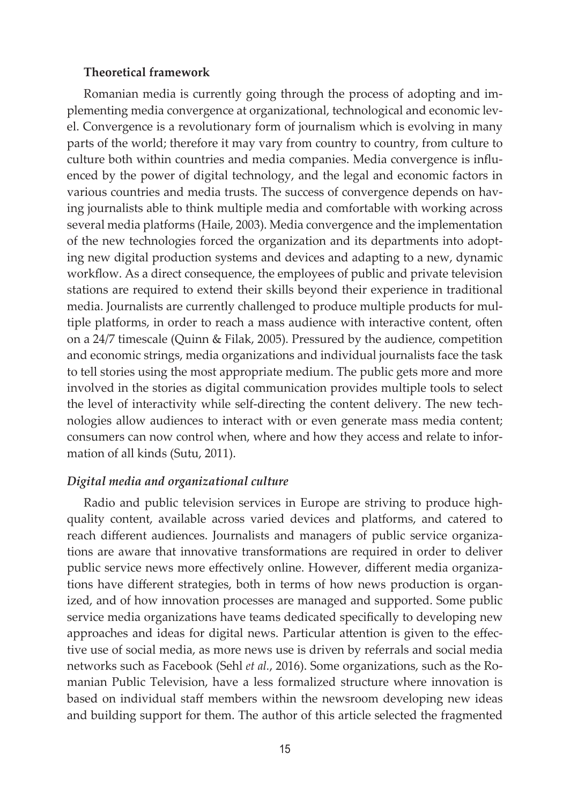#### **Theoretical framework**

Romanian media is currently going through the process of adopting and implementing media convergence at organizational, technological and economic level. Convergence is a revolutionary form of journalism which is evolving in many parts of the world; therefore it may vary from country to country, from culture to culture both within countries and media companies. Media convergence is influenced by the power of digital technology, and the legal and economic factors in various countries and media trusts. The success of convergence depends on having journalists able to think multiple media and comfortable with working across several media platforms (Haile, 2003). Media convergence and the implementation of the new technologies forced the organization and its departments into adopting new digital production systems and devices and adapting to a new, dynamic workflow. As a direct consequence, the employees of public and private television stations are required to extend their skills beyond their experience in traditional media. Journalists are currently challenged to produce multiple products for multiple platforms, in order to reach a mass audience with interactive content, often on a 24/7 timescale (Quinn & Filak, 2005). Pressured by the audience, competition and economic strings, media organizations and individual journalists face the task to tell stories using the most appropriate medium. The public gets more and more involved in the stories as digital communication provides multiple tools to select the level of interactivity while self-directing the content delivery. The new technologies allow audiences to interact with or even generate mass media content; consumers can now control when, where and how they access and relate to information of all kinds (Sutu, 2011).

### *Digital media and organizational culture*

Radio and public television services in Europe are striving to produce highquality content, available across varied devices and platforms, and catered to reach different audiences. Journalists and managers of public service organizations are aware that innovative transformations are required in order to deliver public service news more effectively online. However, different media organizations have different strategies, both in terms of how news production is organized, and of how innovation processes are managed and supported. Some public service media organizations have teams dedicated specifically to developing new approaches and ideas for digital news. Particular attention is given to the effective use of social media, as more news use is driven by referrals and social media networks such as Facebook (Sehl *et al.*, 2016). Some organizations, such as the Romanian Public Television, have a less formalized structure where innovation is based on individual staff members within the newsroom developing new ideas and building support for them. The author of this article selected the fragmented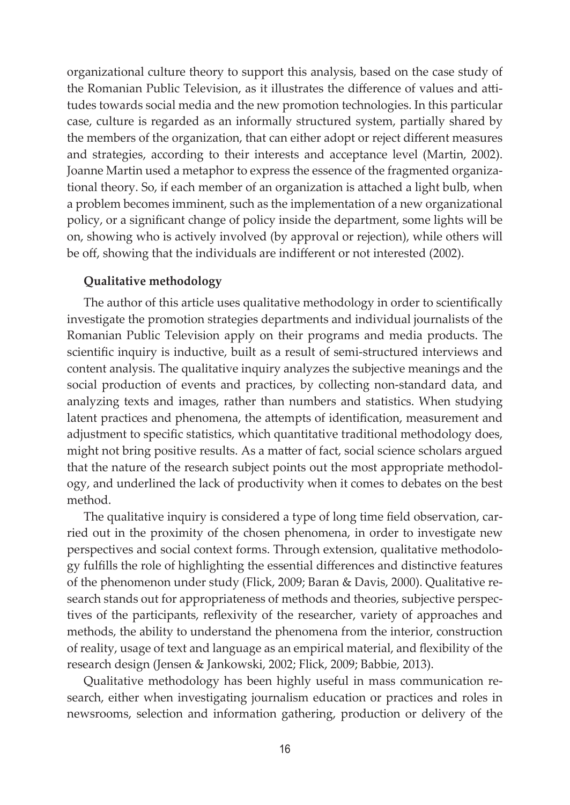organizational culture theory to support this analysis, based on the case study of the Romanian Public Television, as it illustrates the difference of values and attitudes towards social media and the new promotion technologies. In this particular case, culture is regarded as an informally structured system, partially shared by the members of the organization, that can either adopt or reject different measures and strategies, according to their interests and acceptance level (Martin, 2002). Joanne Martin used a metaphor to express the essence of the fragmented organizational theory. So, if each member of an organization is attached a light bulb, when a problem becomes imminent, such as the implementation of a new organizational policy, or a significant change of policy inside the department, some lights will be on, showing who is actively involved (by approval or rejection), while others will be off, showing that the individuals are indifferent or not interested (2002).

## **Qualitative methodology**

The author of this article uses qualitative methodology in order to scientifically investigate the promotion strategies departments and individual journalists of the Romanian Public Television apply on their programs and media products. The scientific inquiry is inductive, built as a result of semi-structured interviews and content analysis. The qualitative inquiry analyzes the subjective meanings and the social production of events and practices, by collecting non-standard data, and analyzing texts and images, rather than numbers and statistics. When studying latent practices and phenomena, the attempts of identification, measurement and adjustment to specific statistics, which quantitative traditional methodology does, might not bring positive results. As a matter of fact, social science scholars argued that the nature of the research subject points out the most appropriate methodology, and underlined the lack of productivity when it comes to debates on the best method.

The qualitative inquiry is considered a type of long time field observation, carried out in the proximity of the chosen phenomena, in order to investigate new perspectives and social context forms. Through extension, qualitative methodology fulfills the role of highlighting the essential differences and distinctive features of the phenomenon under study (Flick, 2009; Baran & Davis, 2000). Qualitative research stands out for appropriateness of methods and theories, subjective perspectives of the participants, reflexivity of the researcher, variety of approaches and methods, the ability to understand the phenomena from the interior, construction of reality, usage of text and language as an empirical material, and flexibility of the research design (Jensen & Jankowski, 2002; Flick, 2009; Babbie, 2013).

Qualitative methodology has been highly useful in mass communication research, either when investigating journalism education or practices and roles in newsrooms, selection and information gathering, production or delivery of the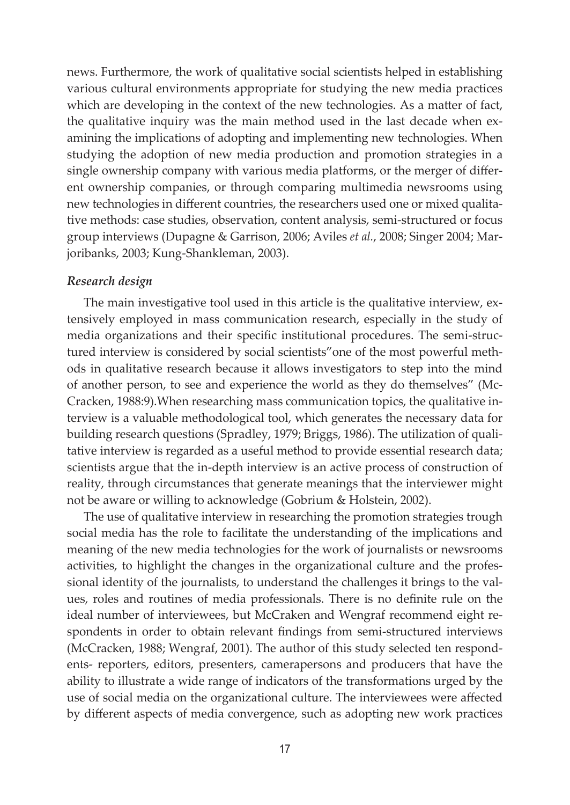news. Furthermore, the work of qualitative social scientists helped in establishing various cultural environments appropriate for studying the new media practices which are developing in the context of the new technologies. As a matter of fact, the qualitative inquiry was the main method used in the last decade when examining the implications of adopting and implementing new technologies. When studying the adoption of new media production and promotion strategies in a single ownership company with various media platforms, or the merger of different ownership companies, or through comparing multimedia newsrooms using new technologies in different countries, the researchers used one or mixed qualitative methods: case studies, observation, content analysis, semi-structured or focus group interviews (Dupagne & Garrison, 2006; Aviles *et al.*, 2008; Singer 2004; Marjoribanks, 2003; Kung-Shankleman, 2003).

#### *Research design*

The main investigative tool used in this article is the qualitative interview, extensively employed in mass communication research, especially in the study of media organizations and their specific institutional procedures. The semi-structured interview is considered by social scientists"one of the most powerful methods in qualitative research because it allows investigators to step into the mind of another person, to see and experience the world as they do themselves" (Mc-Cracken, 1988:9).When researching mass communication topics, the qualitative interview is a valuable methodological tool, which generates the necessary data for building research questions (Spradley, 1979; Briggs, 1986). The utilization of qualitative interview is regarded as a useful method to provide essential research data; scientists argue that the in-depth interview is an active process of construction of reality, through circumstances that generate meanings that the interviewer might not be aware or willing to acknowledge (Gobrium & Holstein, 2002).

The use of qualitative interview in researching the promotion strategies trough social media has the role to facilitate the understanding of the implications and meaning of the new media technologies for the work of journalists or newsrooms activities, to highlight the changes in the organizational culture and the professional identity of the journalists, to understand the challenges it brings to the values, roles and routines of media professionals. There is no definite rule on the ideal number of interviewees, but McCraken and Wengraf recommend eight respondents in order to obtain relevant findings from semi-structured interviews (McCracken, 1988; Wengraf, 2001). The author of this study selected ten respondents- reporters, editors, presenters, camerapersons and producers that have the ability to illustrate a wide range of indicators of the transformations urged by the use of social media on the organizational culture. The interviewees were affected by different aspects of media convergence, such as adopting new work practices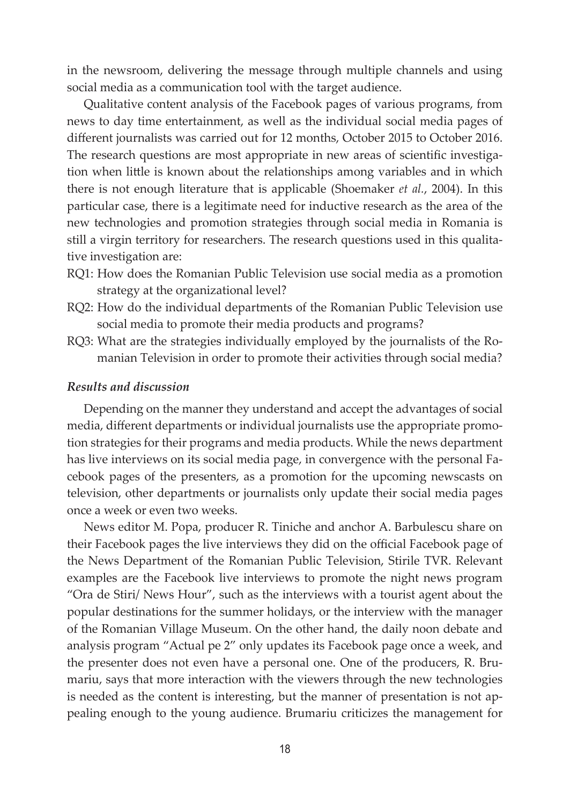in the newsroom, delivering the message through multiple channels and using social media as a communication tool with the target audience.

Qualitative content analysis of the Facebook pages of various programs, from news to day time entertainment, as well as the individual social media pages of different journalists was carried out for 12 months, October 2015 to October 2016. The research questions are most appropriate in new areas of scientific investigation when little is known about the relationships among variables and in which there is not enough literature that is applicable (Shoemaker *et al.*, 2004). In this particular case, there is a legitimate need for inductive research as the area of the new technologies and promotion strategies through social media in Romania is still a virgin territory for researchers. The research questions used in this qualitative investigation are:

- RQ1: How does the Romanian Public Television use social media as a promotion strategy at the organizational level?
- RQ2: How do the individual departments of the Romanian Public Television use social media to promote their media products and programs?
- RQ3: What are the strategies individually employed by the journalists of the Romanian Television in order to promote their activities through social media?

#### *Results and discussion*

Depending on the manner they understand and accept the advantages of social media, different departments or individual journalists use the appropriate promotion strategies for their programs and media products. While the news department has live interviews on its social media page, in convergence with the personal Facebook pages of the presenters, as a promotion for the upcoming newscasts on television, other departments or journalists only update their social media pages once a week or even two weeks.

News editor M. Popa, producer R. Tiniche and anchor A. Barbulescu share on their Facebook pages the live interviews they did on the official Facebook page of the News Department of the Romanian Public Television, Stirile TVR. Relevant examples are the Facebook live interviews to promote the night news program "Ora de Stiri/ News Hour", such as the interviews with a tourist agent about the popular destinations for the summer holidays, or the interview with the manager of the Romanian Village Museum. On the other hand, the daily noon debate and analysis program "Actual pe 2" only updates its Facebook page once a week, and the presenter does not even have a personal one. One of the producers, R. Brumariu, says that more interaction with the viewers through the new technologies is needed as the content is interesting, but the manner of presentation is not appealing enough to the young audience. Brumariu criticizes the management for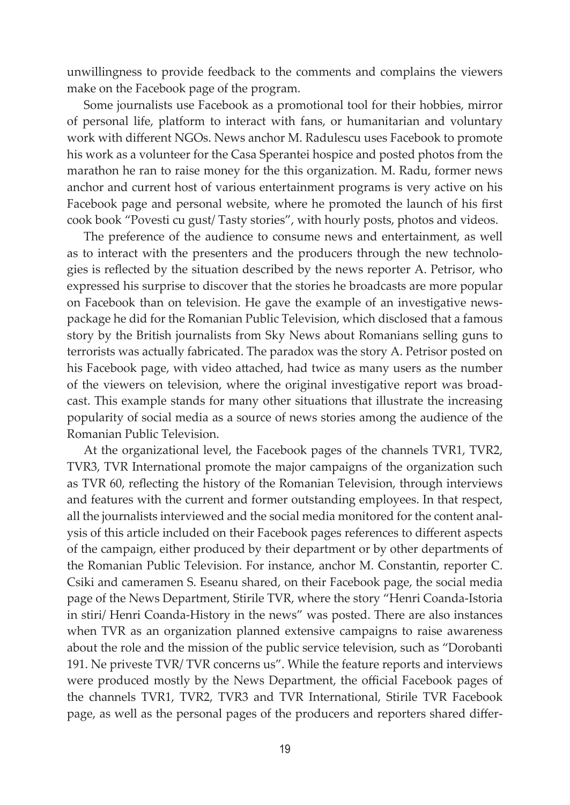unwillingness to provide feedback to the comments and complains the viewers make on the Facebook page of the program.

Some journalists use Facebook as a promotional tool for their hobbies, mirror of personal life, platform to interact with fans, or humanitarian and voluntary work with different NGOs. News anchor M. Radulescu uses Facebook to promote his work as a volunteer for the Casa Sperantei hospice and posted photos from the marathon he ran to raise money for the this organization. M. Radu, former news anchor and current host of various entertainment programs is very active on his Facebook page and personal website, where he promoted the launch of his first cook book "Povesti cu gust/ Tasty stories", with hourly posts, photos and videos.

The preference of the audience to consume news and entertainment, as well as to interact with the presenters and the producers through the new technologies is reflected by the situation described by the news reporter A. Petrisor, who expressed his surprise to discover that the stories he broadcasts are more popular on Facebook than on television. He gave the example of an investigative newspackage he did for the Romanian Public Television, which disclosed that a famous story by the British journalists from Sky News about Romanians selling guns to terrorists was actually fabricated. The paradox was the story A. Petrisor posted on his Facebook page, with video attached, had twice as many users as the number of the viewers on television, where the original investigative report was broadcast. This example stands for many other situations that illustrate the increasing popularity of social media as a source of news stories among the audience of the Romanian Public Television.

At the organizational level, the Facebook pages of the channels TVR1, TVR2, TVR3, TVR International promote the major campaigns of the organization such as TVR 60, reflecting the history of the Romanian Television, through interviews and features with the current and former outstanding employees. In that respect, all the journalists interviewed and the social media monitored for the content analysis of this article included on their Facebook pages references to different aspects of the campaign, either produced by their department or by other departments of the Romanian Public Television. For instance, anchor M. Constantin, reporter C. Csiki and cameramen S. Eseanu shared, on their Facebook page, the social media page of the News Department, Stirile TVR, where the story "Henri Coanda-Istoria in stiri/ Henri Coanda-History in the news" was posted. There are also instances when TVR as an organization planned extensive campaigns to raise awareness about the role and the mission of the public service television, such as "Dorobanti 191. Ne priveste TVR/ TVR concerns us". While the feature reports and interviews were produced mostly by the News Department, the official Facebook pages of the channels TVR1, TVR2, TVR3 and TVR International, Stirile TVR Facebook page, as well as the personal pages of the producers and reporters shared differ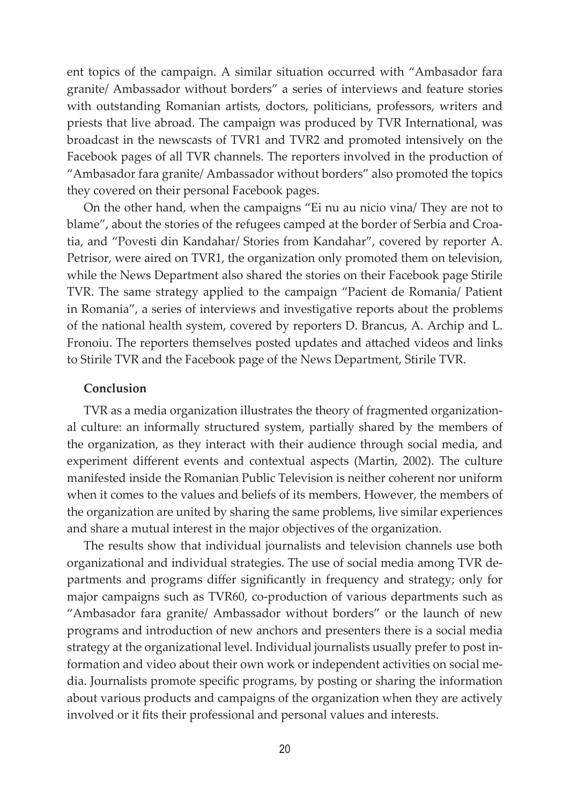ent topics of the campaign. A similar situation occurred with "Ambasador fara granite/ Ambassador without borders" a series of interviews and feature stories with outstanding Romanian artists, doctors, politicians, professors, writers and priests that live abroad. The campaign was produced by TVR International, was broadcast in the newscasts of TVR1 and TVR2 and promoted intensively on the Facebook pages of all TVR channels. The reporters involved in the production of "Ambasador fara granite/ Ambassador without borders" also promoted the topics they covered on their personal Facebook pages.

On the other hand, when the campaigns "Ei nu au nicio vina/ They are not to blame", about the stories of the refugees camped at the border of Serbia and Croatia, and "Povesti din Kandahar/ Stories from Kandahar", covered by reporter A. Petrisor, were aired on TVR1, the organization only promoted them on television, while the News Department also shared the stories on their Facebook page Stirile TVR. The same strategy applied to the campaign "Pacient de Romania/ Patient in Romania", a series of interviews and investigative reports about the problems of the national health system, covered by reporters D. Brancus, A. Archip and L. Fronoiu. The reporters themselves posted updates and attached videos and links to Stirile TVR and the Facebook page of the News Department, Stirile TVR.

### **Conclusion**

TVR as a media organization illustrates the theory of fragmented organizational culture: an informally structured system, partially shared by the members of the organization, as they interact with their audience through social media, and experiment different events and contextual aspects (Martin, 2002). The culture manifested inside the Romanian Public Television is neither coherent nor uniform when it comes to the values and beliefs of its members. However, the members of the organization are united by sharing the same problems, live similar experiences and share a mutual interest in the major objectives of the organization.

The results show that individual journalists and television channels use both organizational and individual strategies. The use of social media among TVR departments and programs differ significantly in frequency and strategy; only for major campaigns such as TVR60, co-production of various departments such as "Ambasador fara granite/ Ambassador without borders" or the launch of new programs and introduction of new anchors and presenters there is a social media strategy at the organizational level. Individual journalists usually prefer to post information and video about their own work or independent activities on social media. Journalists promote specific programs, by posting or sharing the information about various products and campaigns of the organization when they are actively involved or it fits their professional and personal values and interests.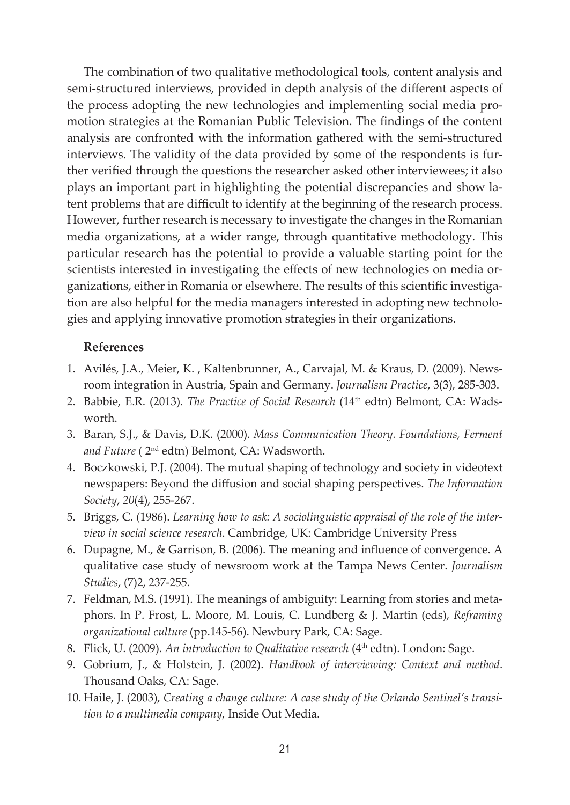The combination of two qualitative methodological tools, content analysis and semi-structured interviews, provided in depth analysis of the different aspects of the process adopting the new technologies and implementing social media promotion strategies at the Romanian Public Television. The findings of the content analysis are confronted with the information gathered with the semi-structured interviews. The validity of the data provided by some of the respondents is further verified through the questions the researcher asked other interviewees; it also plays an important part in highlighting the potential discrepancies and show latent problems that are difficult to identify at the beginning of the research process. However, further research is necessary to investigate the changes in the Romanian media organizations, at a wider range, through quantitative methodology. This particular research has the potential to provide a valuable starting point for the scientists interested in investigating the effects of new technologies on media organizations, either in Romania or elsewhere. The results of this scientific investigation are also helpful for the media managers interested in adopting new technologies and applying innovative promotion strategies in their organizations.

#### **References**

- 1. Avilés, J.A., Meier, K. , Kaltenbrunner, A., Carvajal, M. & Kraus, D. (2009). Newsroom integration in Austria, Spain and Germany. *Journalism Practice*, 3(3), 285-303.
- 2. Babbie, E.R. (2013). *The Practice of Social Research* (14<sup>th</sup> edtn) Belmont, CA: Wadsworth.
- 3. Baran, S.J., & Davis, D.K. (2000). *Mass Communication Theory. Foundations, Ferment and Future* ( 2nd edtn) Belmont, CA: Wadsworth.
- 4. Boczkowski, P.J. (2004). The mutual shaping of technology and society in videotext newspapers: Beyond the diffusion and social shaping perspectives. *The Information Society*, *20*(4), 255-267.
- 5. Briggs, C. (1986). *Learning how to ask: A sociolinguistic appraisal of the role of the interview in social science research*. Cambridge, UK: Cambridge University Press
- 6. Dupagne, M., & Garrison, B. (2006). The meaning and influence of convergence. A qualitative case study of newsroom work at the Tampa News Center. *Journalism Studies*, (7)2, 237-255.
- 7. Feldman, M.S. (1991). The meanings of ambiguity: Learning from stories and metaphors. In P. Frost, L. Moore, M. Louis, C. Lundberg & J. Martin (eds), *Reframing organizational culture* (pp.145-56). Newbury Park, CA: Sage.
- 8. Flick, U. (2009). An introduction to Qualitative research (4<sup>th</sup> edtn). London: Sage.
- 9. Gobrium, J., & Holstein, J. (2002). *Handbook of interviewing: Context and method*. Thousand Oaks, CA: Sage.
- 10. Haile, J. (2003), *Creating a change culture: A case study of the Orlando Sentinel's transition to a multimedia company*, Inside Out Media.